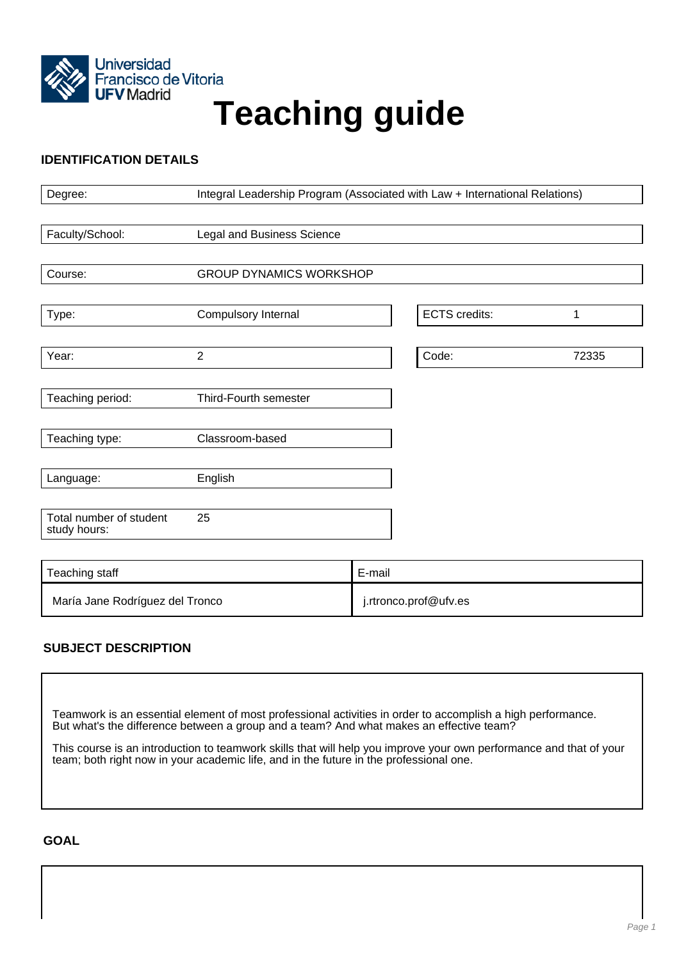

# Francisco de Vitoria<br>UFV Madrid<br>
Teaching guide

# **IDENTIFICATION DETAILS**

| Degree:                                 | Integral Leadership Program (Associated with Law + International Relations) |        |                      |       |
|-----------------------------------------|-----------------------------------------------------------------------------|--------|----------------------|-------|
|                                         |                                                                             |        |                      |       |
| Faculty/School:                         | Legal and Business Science                                                  |        |                      |       |
|                                         |                                                                             |        |                      |       |
| Course:                                 | <b>GROUP DYNAMICS WORKSHOP</b>                                              |        |                      |       |
|                                         |                                                                             |        |                      |       |
| Type:                                   | Compulsory Internal                                                         |        | <b>ECTS</b> credits: | 1     |
|                                         |                                                                             |        |                      |       |
| Year:                                   | $\overline{2}$                                                              |        | Code:                | 72335 |
|                                         |                                                                             |        |                      |       |
| Teaching period:                        | Third-Fourth semester                                                       |        |                      |       |
|                                         |                                                                             |        |                      |       |
| Teaching type:                          | Classroom-based                                                             |        |                      |       |
|                                         |                                                                             |        |                      |       |
| Language:                               | English                                                                     |        |                      |       |
|                                         |                                                                             |        |                      |       |
| Total number of student<br>study hours: | 25                                                                          |        |                      |       |
|                                         |                                                                             |        |                      |       |
| Teaching staff                          |                                                                             | E-mail |                      |       |

# **SUBJECT DESCRIPTION**

Teamwork is an essential element of most professional activities in order to accomplish a high performance. But what's the difference between a group and a team? And what makes an effective team?

María Jane Rodríguez del Tronco **inter alla contra del tronco.** intronco.prof@ufv.es

This course is an introduction to teamwork skills that will help you improve your own performance and that of your team; both right now in your academic life, and in the future in the professional one.

**GOAL**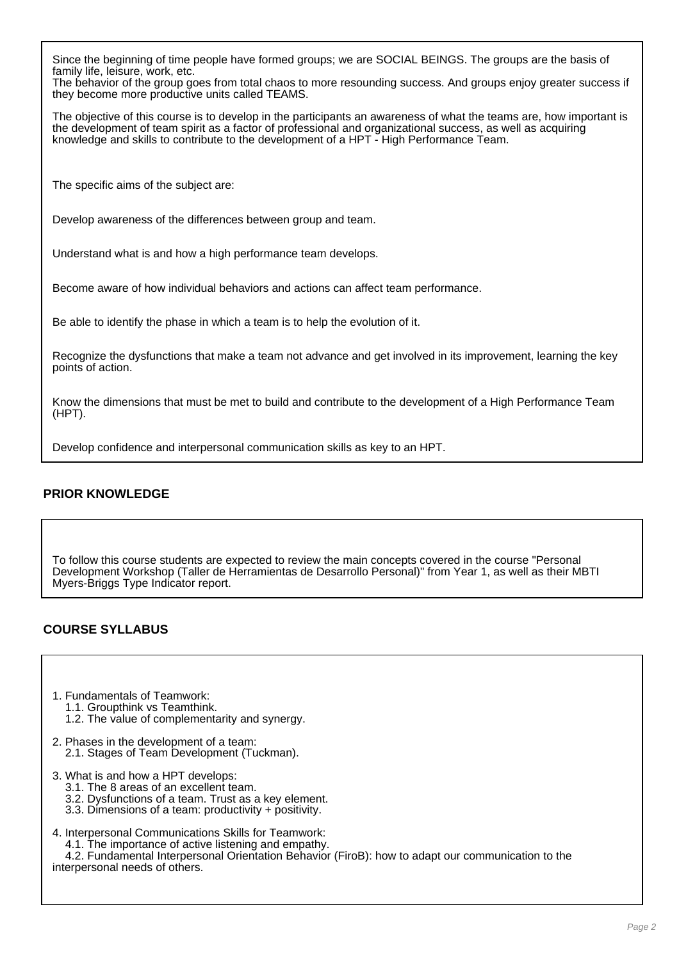Since the beginning of time people have formed groups; we are SOCIAL BEINGS. The groups are the basis of family life, leisure, work, etc.

The behavior of the group goes from total chaos to more resounding success. And groups enjoy greater success if they become more productive units called TEAMS.

The objective of this course is to develop in the participants an awareness of what the teams are, how important is the development of team spirit as a factor of professional and organizational success, as well as acquiring knowledge and skills to contribute to the development of a HPT - High Performance Team.

The specific aims of the subject are:

Develop awareness of the differences between group and team.

Understand what is and how a high performance team develops.

Become aware of how individual behaviors and actions can affect team performance.

Be able to identify the phase in which a team is to help the evolution of it.

Recognize the dysfunctions that make a team not advance and get involved in its improvement, learning the key points of action.

Know the dimensions that must be met to build and contribute to the development of a High Performance Team (HPT).

Develop confidence and interpersonal communication skills as key to an HPT.

## **PRIOR KNOWLEDGE**

To follow this course students are expected to review the main concepts covered in the course "Personal Development Workshop (Taller de Herramientas de Desarrollo Personal)" from Year 1, as well as their MBTI Myers-Briggs Type Indicator report.

## **COURSE SYLLABUS**

- 1. Fundamentals of Teamwork: 1.1. Groupthink vs Teamthink.
	- 1.2. The value of complementarity and synergy.
- 2. Phases in the development of a team: 2.1. Stages of Team Development (Tuckman).
- 3. What is and how a HPT develops:
	- 3.1. The 8 areas of an excellent team.
	- 3.2. Dysfunctions of a team. Trust as a key element.
	- 3.3. Dimensions of a team: productivity + positivity.
- 4. Interpersonal Communications Skills for Teamwork:
	- 4.1. The importance of active listening and empathy.

 4.2. Fundamental Interpersonal Orientation Behavior (FiroB): how to adapt our communication to the interpersonal needs of others.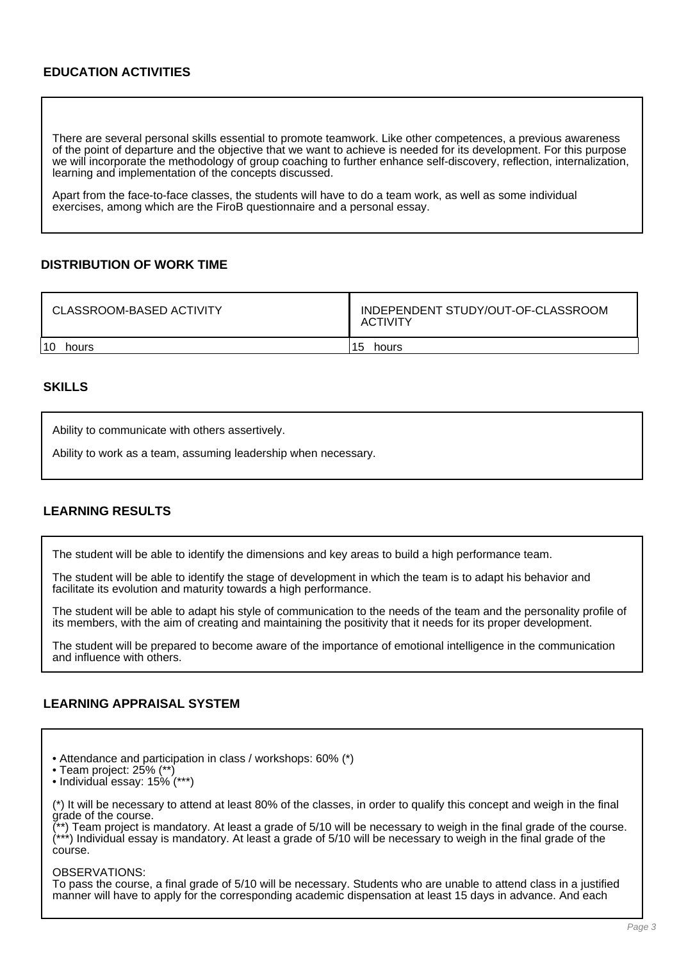# **EDUCATION ACTIVITIES**

There are several personal skills essential to promote teamwork. Like other competences, a previous awareness of the point of departure and the objective that we want to achieve is needed for its development. For this purpose we will incorporate the methodology of group coaching to further enhance self-discovery, reflection, internalization, learning and implementation of the concepts discussed.

Apart from the face-to-face classes, the students will have to do a team work, as well as some individual exercises, among which are the FiroB questionnaire and a personal essay.

#### **DISTRIBUTION OF WORK TIME**

| <b>CLASSROOM-BASED ACTIVITY</b> | INDEPENDENT STUDY/OUT-OF-CLASSROOM<br><b>ACTIVITY</b> |  |
|---------------------------------|-------------------------------------------------------|--|
| 10                              | 15                                                    |  |
| hours                           | hours                                                 |  |

#### **SKILLS**

Ability to communicate with others assertively.

Ability to work as a team, assuming leadership when necessary.

## **LEARNING RESULTS**

The student will be able to identify the dimensions and key areas to build a high performance team.

The student will be able to identify the stage of development in which the team is to adapt his behavior and facilitate its evolution and maturity towards a high performance.

The student will be able to adapt his style of communication to the needs of the team and the personality profile of its members, with the aim of creating and maintaining the positivity that it needs for its proper development.

The student will be prepared to become aware of the importance of emotional intelligence in the communication and influence with others.

#### **LEARNING APPRAISAL SYSTEM**

- Attendance and participation in class / workshops: 60% (\*)
- Team project: 25% (\*\*)
- Individual essay: 15% (\*\*\*)

(\*) It will be necessary to attend at least 80% of the classes, in order to qualify this concept and weigh in the final grade of the course.

\*) Team project is mandatory. At least a grade of 5/10 will be necessary to weigh in the final grade of the course. (\*\*\*) Individual essay is mandatory. At least a grade of 5/10 will be necessary to weigh in the final grade of the course.

OBSERVATIONS:

To pass the course, a final grade of 5/10 will be necessary. Students who are unable to attend class in a justified manner will have to apply for the corresponding academic dispensation at least 15 days in advance. And each